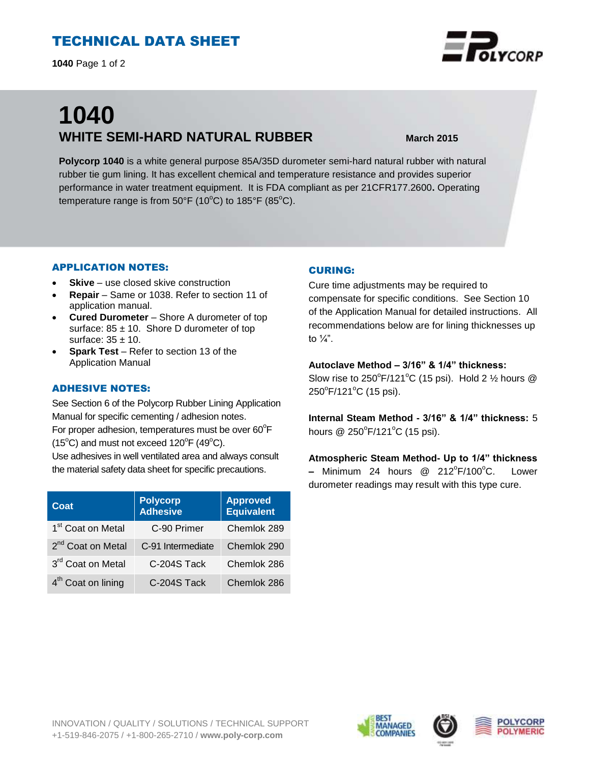# TECHNICAL DATA SHEET

**1040** Page 1 of 2

# **1040 WHITE SEMI-HARD NATURAL RUBBER March 2015**

**Polycorp 1040** is a white general purpose 85A/35D durometer semi-hard natural rubber with natural rubber tie gum lining. It has excellent chemical and temperature resistance and provides superior performance in water treatment equipment. It is FDA compliant as per 21CFR177.2600**.** Operating temperature range is from  $50^{\circ}$ F (10 $^{\circ}$ C) to 185 $^{\circ}$ F (85 $^{\circ}$ C).

## APPLICATION NOTES:

- **Skive** use closed skive construction
- **Repair**  Same or 1038. Refer to section 11 of application manual.
- **Cured Durometer**  Shore A durometer of top surface:  $85 \pm 10$ . Shore D durometer of top surface:  $35 \pm 10$ .
- **Spark Test** Refer to section 13 of the Application Manual

## ADHESIVE NOTES:

See Section 6 of the Polycorp Rubber Lining Application Manual for specific cementing / adhesion notes. For proper adhesion, temperatures must be over  $60^{\circ}$ F  $(15^{\circ}C)$  and must not exceed  $120^{\circ}F(49^{\circ}C)$ . Use adhesives in well ventilated area and always consult

the material safety data sheet for specific precautions.

| Coat                           | <b>Polycorp</b><br><b>Adhesive</b> | <b>Approved</b><br>Equivalent |
|--------------------------------|------------------------------------|-------------------------------|
| 1 <sup>st</sup> Coat on Metal  | C-90 Primer                        | Chemlok 289                   |
| 2 <sup>nd</sup> Coat on Metal  | C-91 Intermediate                  | Chemlok 290                   |
| 3rd Coat on Metal              | C-204S Tack                        | Chemlok 286                   |
| 4 <sup>th</sup> Coat on lining | C-204S Tack                        | Chemlok 286                   |

## CURING:

Cure time adjustments may be required to compensate for specific conditions. See Section 10 of the Application Manual for detailed instructions. All recommendations below are for lining thicknesses up to  $\frac{1}{4}$ ".

**Autoclave Method – 3/16" & 1/4" thickness:**  Slow rise to  $250^{\circ}$ F/121 $^{\circ}$ C (15 psi). Hold 2  $\frac{1}{2}$  hours @ 250<sup>°</sup>F/121<sup>°</sup>C (15 psi).

**Internal Steam Method - 3/16" & 1/4" thickness:** 5 hours @ 250°F/121°C (15 psi).

**Atmospheric Steam Method- Up to 1/4" thickness -** Minimum 24 hours @ 212°F/100°C. Lower durometer readings may result with this type cure.